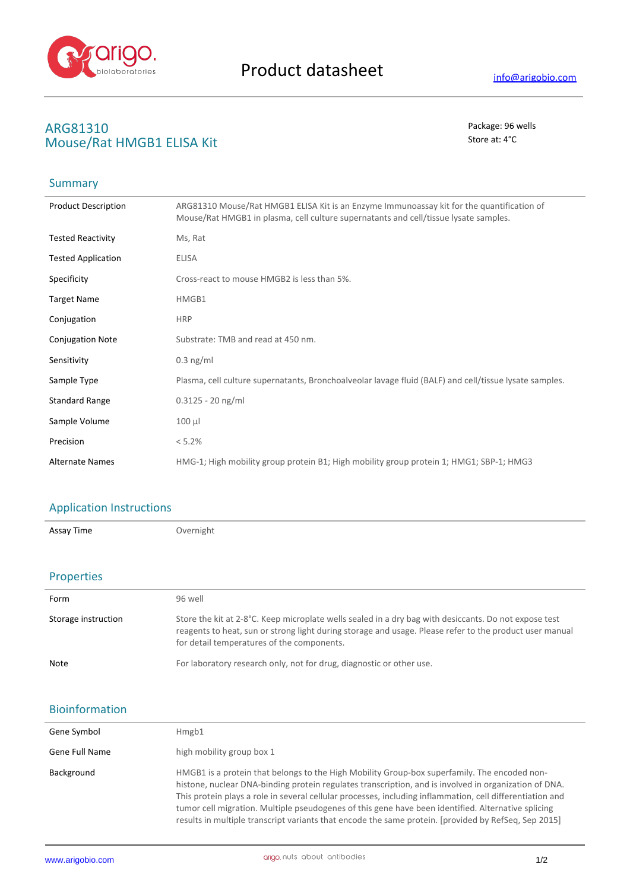

# ARG81310<br>
Mouse/Rat HMGR1 FLISA Kit<br>
Mouse/Rat HMGR1 FLISA Kit **Mouse/Rat HMGB1 ELISA Kit**

## Summary

| <b>Product Description</b> | ARG81310 Mouse/Rat HMGB1 ELISA Kit is an Enzyme Immunoassay kit for the quantification of<br>Mouse/Rat HMGB1 in plasma, cell culture supernatants and cell/tissue lysate samples. |
|----------------------------|-----------------------------------------------------------------------------------------------------------------------------------------------------------------------------------|
| <b>Tested Reactivity</b>   | Ms, Rat                                                                                                                                                                           |
| <b>Tested Application</b>  | <b>ELISA</b>                                                                                                                                                                      |
| Specificity                | Cross-react to mouse HMGB2 is less than 5%.                                                                                                                                       |
| <b>Target Name</b>         | HMGB1                                                                                                                                                                             |
| Conjugation                | <b>HRP</b>                                                                                                                                                                        |
| <b>Conjugation Note</b>    | Substrate: TMB and read at 450 nm.                                                                                                                                                |
| Sensitivity                | $0.3$ ng/ml                                                                                                                                                                       |
| Sample Type                | Plasma, cell culture supernatants, Bronchoalveolar lavage fluid (BALF) and cell/tissue lysate samples.                                                                            |
| <b>Standard Range</b>      | $0.3125 - 20$ ng/ml                                                                                                                                                               |
| Sample Volume              | $100 \mu l$                                                                                                                                                                       |
| Precision                  | < 5.2%                                                                                                                                                                            |
| <b>Alternate Names</b>     | HMG-1; High mobility group protein B1; High mobility group protein 1; HMG1; SBP-1; HMG3                                                                                           |

### Application Instructions

Assay Time **Overnight** 

### Properties

| Form                | 96 well                                                                                                                                                                                                                                                        |
|---------------------|----------------------------------------------------------------------------------------------------------------------------------------------------------------------------------------------------------------------------------------------------------------|
| Storage instruction | Store the kit at 2-8°C. Keep microplate wells sealed in a dry bag with desiccants. Do not expose test<br>reagents to heat, sun or strong light during storage and usage. Please refer to the product user manual<br>for detail temperatures of the components. |
| Note                | For laboratory research only, not for drug, diagnostic or other use.                                                                                                                                                                                           |

#### Bioinformation

| Gene Symbol    | Hmgb1                                                                                                                                                                                                                                                                                                                                                                                                                                                                                                                            |
|----------------|----------------------------------------------------------------------------------------------------------------------------------------------------------------------------------------------------------------------------------------------------------------------------------------------------------------------------------------------------------------------------------------------------------------------------------------------------------------------------------------------------------------------------------|
| Gene Full Name | high mobility group box 1                                                                                                                                                                                                                                                                                                                                                                                                                                                                                                        |
| Background     | HMGB1 is a protein that belongs to the High Mobility Group-box superfamily. The encoded non-<br>histone, nuclear DNA-binding protein regulates transcription, and is involved in organization of DNA.<br>This protein plays a role in several cellular processes, including inflammation, cell differentiation and<br>tumor cell migration. Multiple pseudogenes of this gene have been identified. Alternative splicing<br>results in multiple transcript variants that encode the same protein. [provided by RefSeq, Sep 2015] |